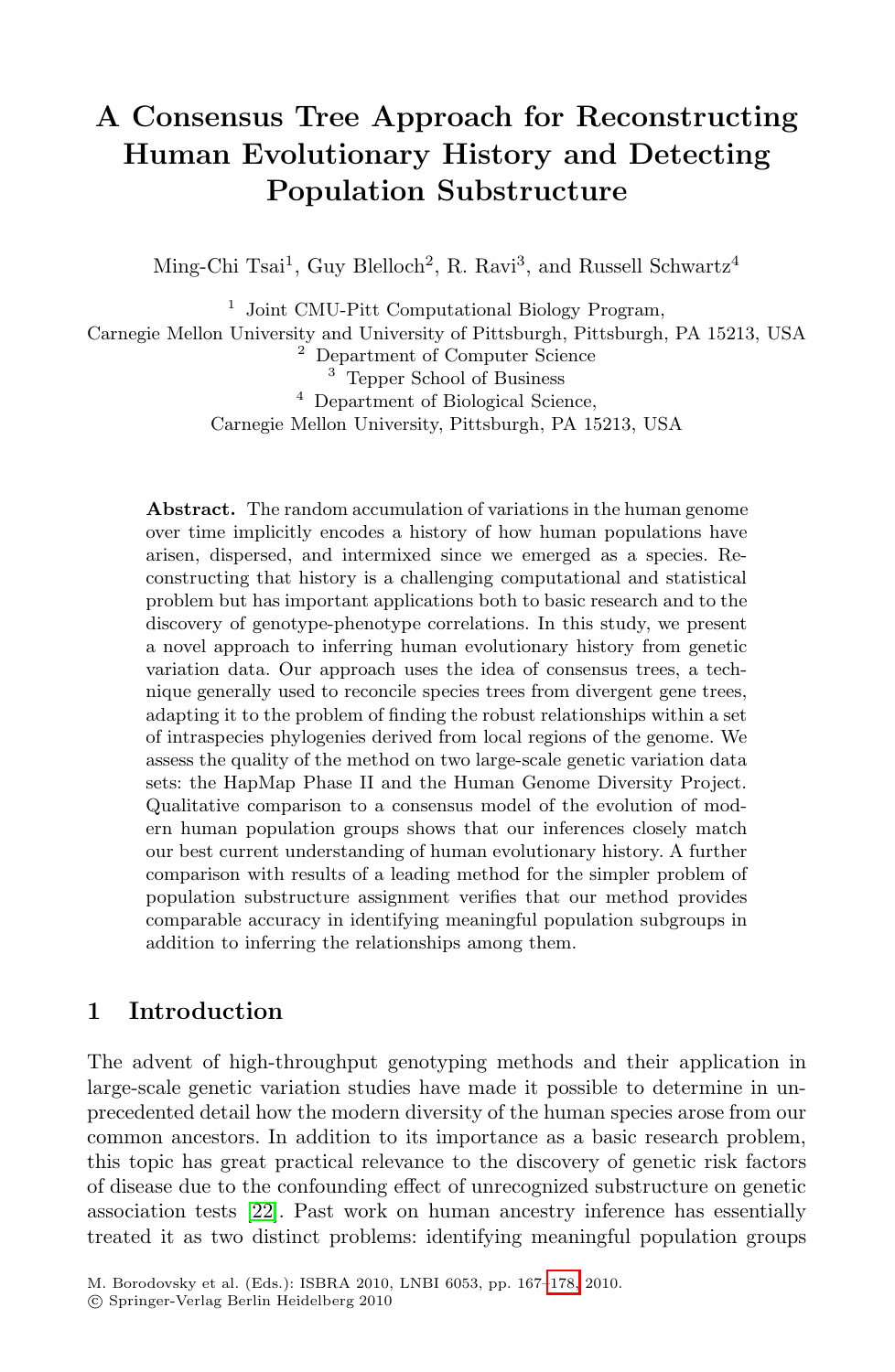# **A Consensus Tree Approach for Reconstructing Human Evolutionary History and Detecting Population Substructure**

Ming-Chi Tsai<sup>1</sup>, Guy Blelloch<sup>2</sup>, R. Ravi<sup>3</sup>, and Russell Schwartz<sup>4</sup>

<sup>1</sup> Joint CMU-Pitt Computational Biology Program, Carnegie Mellon University and University of Pittsburgh, Pittsburgh, PA 15213, USA <sup>2</sup> Department of Computer Science <sup>3</sup> Tepper School of Business <sup>4</sup> Department of Biological Science, Carnegie Mellon University, Pittsburgh, PA 15213, USA

**Abstract.** The random accumulation of variations in the human genome over time implicitly encodes a history of how human populations have arisen, dispersed, and intermixed since we emerged as a species. Reconstructing that history is a challenging computational and statistical problem but has important applications both to basic research and to the discovery of genotype-phenotype correlations. In this study, we present a novel approach to inferring human evolutionary history from genetic variation data. Our approach uses the idea of consensus trees, a technique generally used to reconcile species trees from divergent gene trees, adapting it to the problem of finding the robust relationships within a set of intraspecies phylogenies derived from local regions of the genome. We assess the quality of the method on two large-scale genetic variation data sets: the HapMap Phase II and the Human Genome Diversity Project. Qualitative comparison to a consensus model of the evolution of modern human population groups shows that our inferences closely match our best current understanding of human evolutionary history. A further comparison with results of a leading method for the simpler problem of population substructure assignment verifies that our method provides comparable accuracy in identifying meaningful population subgroups in addition to inferring the relationships among them.

# **[1](#page-11-0) Introduction**

The advent of high-throughput genotyping methods and their application in large-scale genetic variation st[udies](#page-11-1) have made it possible to determine in unprecedented detail how the modern diversity of the human species arose from our common ancestors. In addition to its importance as a basic research problem, this topic has great practical relevance to the discovery of genetic risk factors of disease due to the confounding effect of unrecognized substructure on genetic association tests [22]. Past work on human ancestry inference has essentially treated it as two distinct problems: identifying meaningful population groups

M. Borodovsky et al. (Eds.): ISBRA 2010, LNBI 6053, pp. 167–178, 2010.

<sup>-</sup>c Springer-Verlag Berlin Heidelberg 2010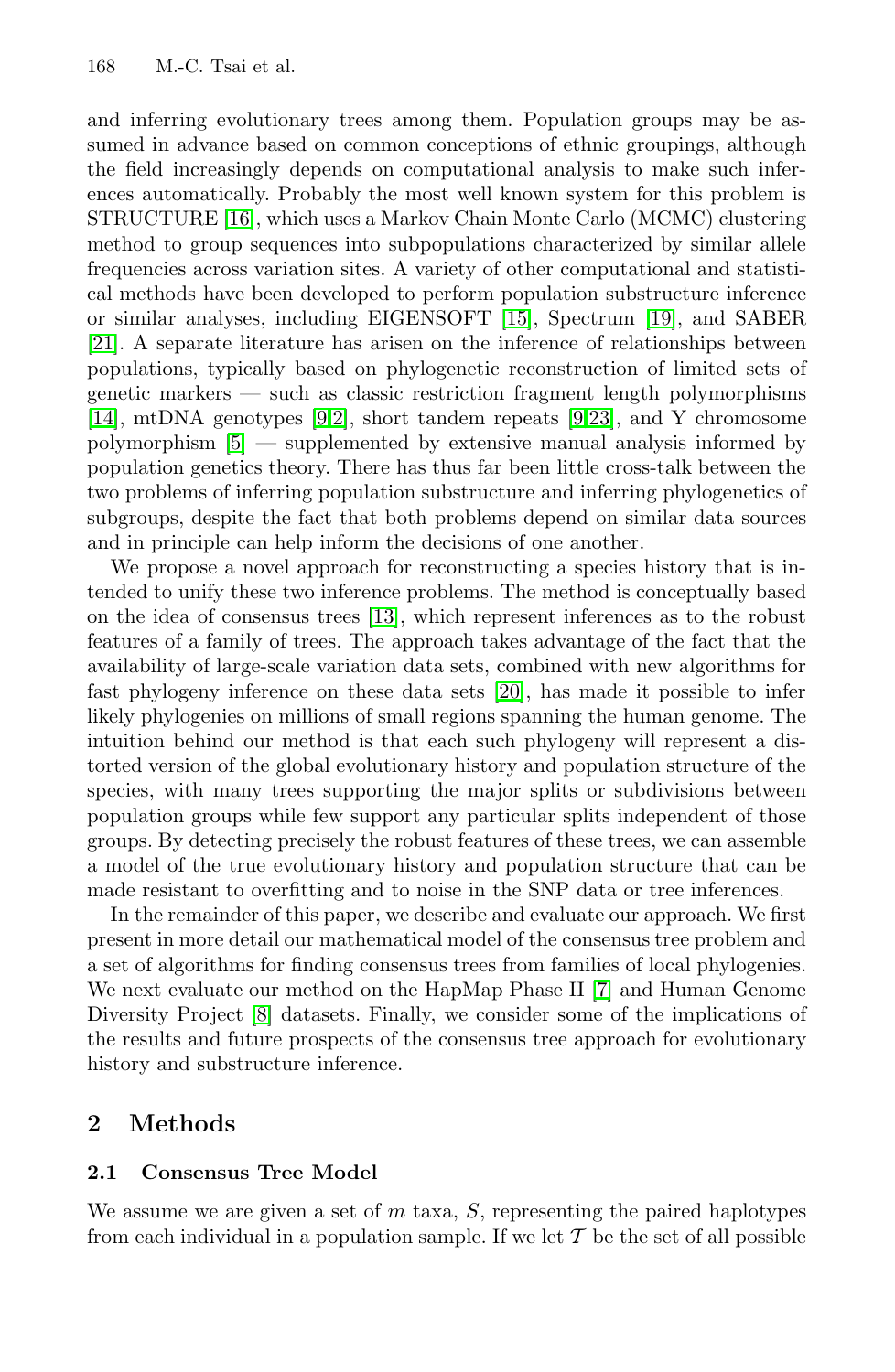#### 168 M.-C. Tsai et al.

and inferring evolutionary [tre](#page-11-2)es among t[hem](#page-11-3). Population groups may be assumed in advance based on common conceptions of ethnic groupings, although the field increasingly depends on computational analysis to make such inferences automatically. Probably the most well known system for this problem is STR[UC](#page-10-0)[TU](#page-10-1)RE [16], which uses a [Ma](#page-10-0)[rkov](#page-11-4) Chain Monte Carlo (MCMC) clustering method to group sequences into subpopulations characterized by similar allele frequencies across variation sites. A variety of other computational and statistical methods have been developed to perform population substructure inference or similar analyses, including EIGENSOFT [15], Spectrum [19], and SABER [21]. A separate literature has arisen on the inference of relationships between populations, typically based on phylogenetic reconstruction of limited sets of genetic markers — such as classic restriction fragment length polymorphisms [14], mtDN[A ge](#page-11-5)notypes [9,2], short tandem repeats [9,23], and Y chromosome polymorphism [5] — supplemented by extensive manual analysis informed by population genetics theory. There has thus far been little cross-talk between the two problems of inferring [pop](#page-11-6)ulation substructure and inferring phylogenetics of subgroups, despite the fact that both problems depend on similar data sources and in principle can help inform the decisions of one another.

We propose a novel approach for reconstructing a species history that is intended to unify these two inference problems. The method is conceptually based on the idea of consensus trees [13], which represent inferences as to the robust features of a family of trees. The approach takes advantage of the fact that the availability of large-scale variation data sets, combined with new algorithms for fast phylogeny inference on these data sets [20], has made it possible to infer likely phylogenies on millions of small regions spanning the human genome. The intuition behind our method is that each such phylogeny will represent a distorted version of the global evolutionary history and population structure of the species, with many trees supporting [t](#page-10-2)he major splits or subdivisions between [p](#page-10-3)opulation groups while few support any particular splits independent of those groups. By detecting precisely the robust features of these trees, we can assemble a model of the true evolutionary history and population structure that can be made resistant to overfitting and to noise in the SNP data or tree inferences.

In the remainder of this paper, we describe and evaluate our approach. We first present in more detail our mathematical model of the consensus tree problem and a set of algorithms for finding consensus trees from families of local phylogenies. We next evaluate our method on the HapMap Phase II [7] and Human Genome Diversity Project [8] datasets. Finally, we consider some of the implications of the results and future prospects of the consensus tree approach for evolutionary history and substructure inference.

### **2 Methods**

#### **2.1 Consensus Tree Model**

We assume we are given a set of *m* taxa, *S*, representing the paired haplotypes from each individual in a population sample. If we let  $T$  be the set of all possible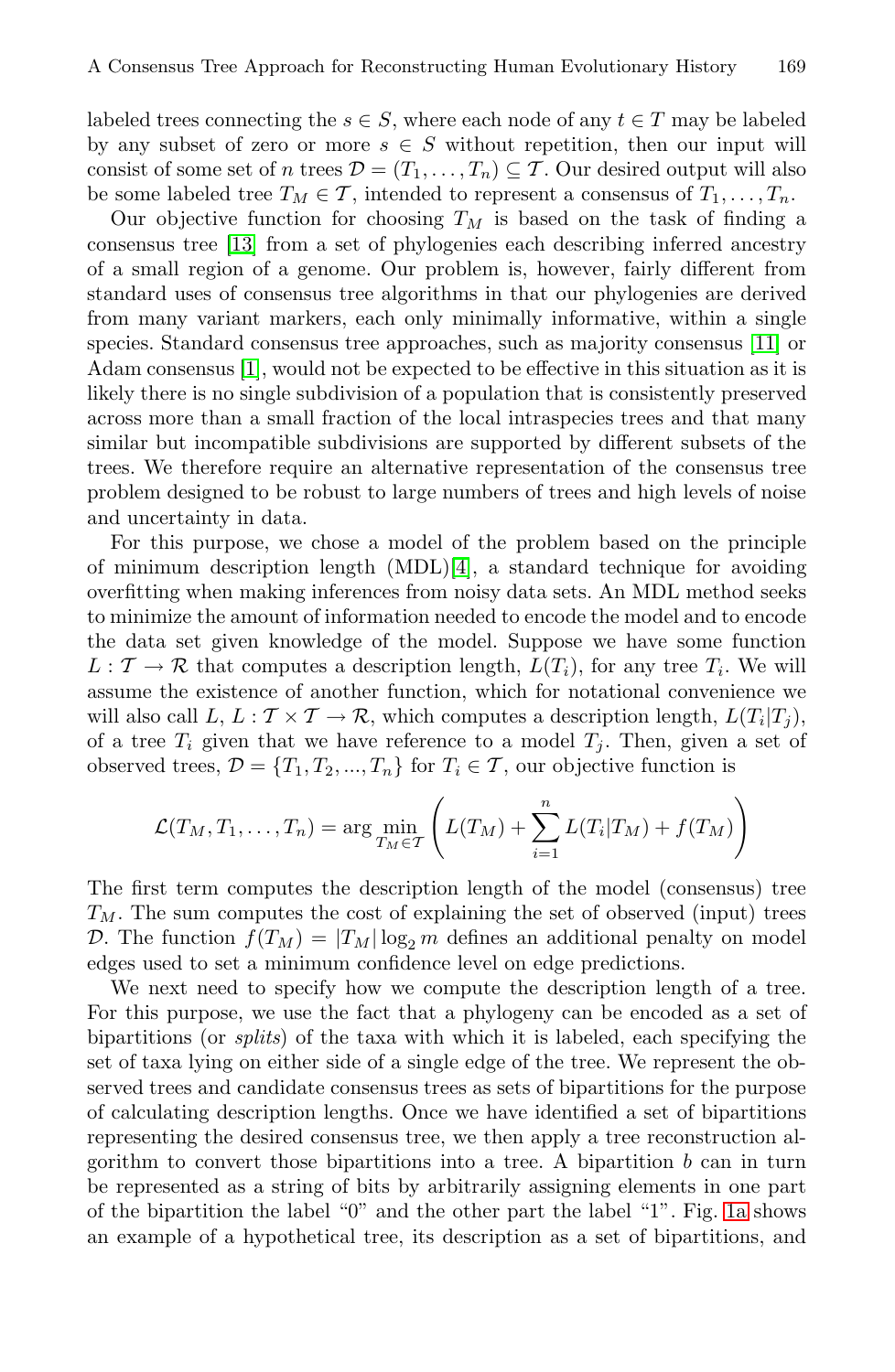labeled trees connecting the  $s \in S$ , where each node of any  $t \in T$  may be labeled by any subset of zero or more  $s \in S$  without repeti[tion](#page-11-7), then our input will consist of some set of *n* trees  $\mathcal{D} = (T_1, \ldots, T_n) \subseteq \mathcal{T}$ . Our desired output will also be some labeled tree  $T_M \in \mathcal{T}$ , intended to represent a consensus of  $T_1, \ldots, T_n$ .

Our objective function for choosing  $T_M$  is based on the task of finding a consensus tree [13] from a set of phylogenies each describing inferred ancestry of a small region of a genome. Our problem is, however, fairly different from standard uses of consensus tree algorithms in that our phylogenies are derived from many variant markers, each only minimally informative, within a single species. Standard consensus tree approaches, such as majority consensus [11] or Adam consensus [1], [wo](#page-10-4)uld not be expected to be effective in this situation as it is likely there is no single subdivision of a population that is consistently preserved across more than a small fraction of the local intraspecies trees and that many similar but incompatible subdivisions are supported by different subsets of the trees. We therefore require an alternative representation of the consensus tree problem designed to be robust to large numbers of trees and high levels of noise and uncertainty in data.

For this purpose, we chose a model of the problem based on the principle of minimum description length (MDL)[4], a standard technique for avoiding overfitting when making inferences from noisy data sets. An MDL method seeks to minimize the amount of information needed to encode the model and to encode the data set given knowledge of the model. Suppose we have some function  $L: \mathcal{T} \to \mathcal{R}$  that computes a description length,  $L(T_i)$ , for any tree  $T_i$ . We will assume the existence of another function, which for notational convenience we will also call  $L, L: \mathcal{T} \times \mathcal{T} \rightarrow \mathcal{R}$ , which computes a description length,  $L(T_i|T_i)$ , of a tree  $T_i$  given that we have reference to a model  $T_j$ . Then, given a set of observed trees,  $\mathcal{D} = \{T_1, T_2, ..., T_n\}$  for  $T_i \in \mathcal{T}$ , our objective function is

$$
\mathcal{L}(T_M, T_1, \dots, T_n) = \arg \min_{T_M \in \mathcal{T}} \left( L(T_M) + \sum_{i=1}^n L(T_i | T_M) + f(T_M) \right)
$$

The first term computes the description length of the model (consensus) tree *TM*. The sum computes the cost of explaining the set of observed (input) trees D. The function  $f(T_M) = |T_M| \log_2 m$  defines an additional penalty on model edges used to set a minimum confidence level on edge predictions.

We next need to specify how we compute the description length of a tree. For this purpose, we use the fact that a phylogen[y ca](#page-3-0)n be encoded as a set of bipartitions (or *splits*) of the taxa with which it is labeled, each specifying the set of taxa lying on either side of a single edge of the tree. We represent the observed trees and candidate consensus trees as sets of bipartitions for the purpose of calculating description lengths. Once we have identified a set of bipartitions representing the desired consensus tree, we then apply a tree reconstruction algorithm to convert those bipartitions into a tree. A bipartition *b* can in turn be represented as a string of bits by arbitrarily assigning elements in one part of the bipartition the label "0" and the other part the label "1". Fig. 1a shows an example of a hypothetical tree, its description as a set of bipartitions, and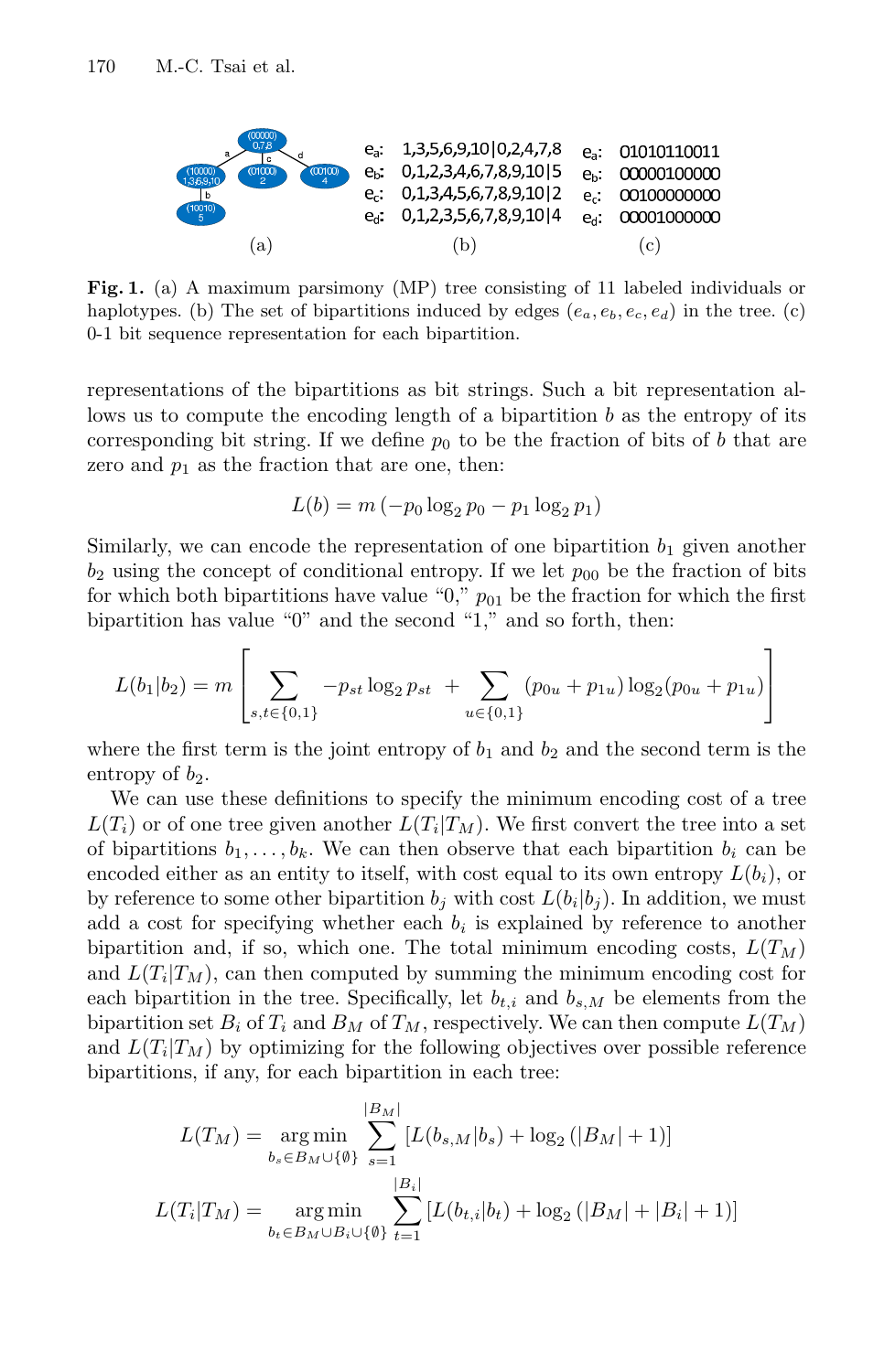<span id="page-3-0"></span>

**Fig. 1.** (a) A maximum parsimony (MP) tree consisting of 11 labeled individuals or haplotypes. (b) The set of bipartitions induced by edges  $(e_a, e_b, e_c, e_d)$  in the tree. (c) 0-1 bit sequence representation for each bipartition.

representations of the bipartitions as bit strings. Such a bit representation allows us to compute the encoding length of a bipartition *b* as the entropy of its corresponding bit string. If we define  $p_0$  to be the fraction of bits of *b* that are zero and  $p_1$  as the fraction that are one, then:

$$
L(b) = m(-p_0 \log_2 p_0 - p_1 \log_2 p_1)
$$

Similarly, we can encode the representation of one bipartition  $b_1$  given another  $b_2$  using the concept of conditional entropy. If we let  $p_{00}$  be the fraction of bits for which both bipartitions have value " $0$ ,"  $p_{01}$  be the fraction for which the first bipartition has value "0" and the second "1," and so forth, then:

$$
L(b_1|b_2) = m \left[ \sum_{s,t \in \{0,1\}} -p_{st} \log_2 p_{st} + \sum_{u \in \{0,1\}} (p_{0u} + p_{1u}) \log_2 (p_{0u} + p_{1u}) \right]
$$

where the first term is the joint entropy of  $b_1$  and  $b_2$  and the second term is the entropy of  $b_2$ .

We can use these definitions to specify the minimum encoding cost of a tree  $L(T_i)$  or of one tree given another  $L(T_i|T_M)$ . We first convert the tree into a set of bipartitions  $b_1, \ldots, b_k$ . We can then observe that each bipartition  $b_i$  can be encoded either as an entity to itself, with cost equal to its own entropy  $L(b_i)$ , or by reference to some other bipartition  $b_j$  with cost  $L(b_i|b_j)$ . In addition, we must add a cost for specifying whether each  $b_i$  is explained by reference to another bipartition and, if so, which one. The total minimum encoding costs,  $L(T_M)$ and  $L(T_i|T_M)$ , can then computed by summing the minimum encoding cost for each bipartition in the tree. Specifically, let  $b_{t,i}$  and  $b_{s,M}$  be elements from the bipartition set  $B_i$  of  $T_i$  and  $B_M$  of  $T_M$ , respectively. We can then compute  $L(T_M)$ and  $L(T_i|T_M)$  by optimizing for the following objectives over possible reference bipartitions, if any, for each bipartition in each tree:

$$
L(T_M) = \underset{b_s \in B_M \cup \{0\}}{\arg \min} \sum_{s=1}^{|B_M|} [L(b_{s,M}|b_s) + \log_2(|B_M|+1)]
$$
  

$$
L(T_i|T_M) = \underset{b_t \in B_M \cup B_i \cup \{0\}}{\arg \min} \sum_{t=1}^{|B_i|} [L(b_{t,i}|b_t) + \log_2(|B_M|+|B_i|+1)]
$$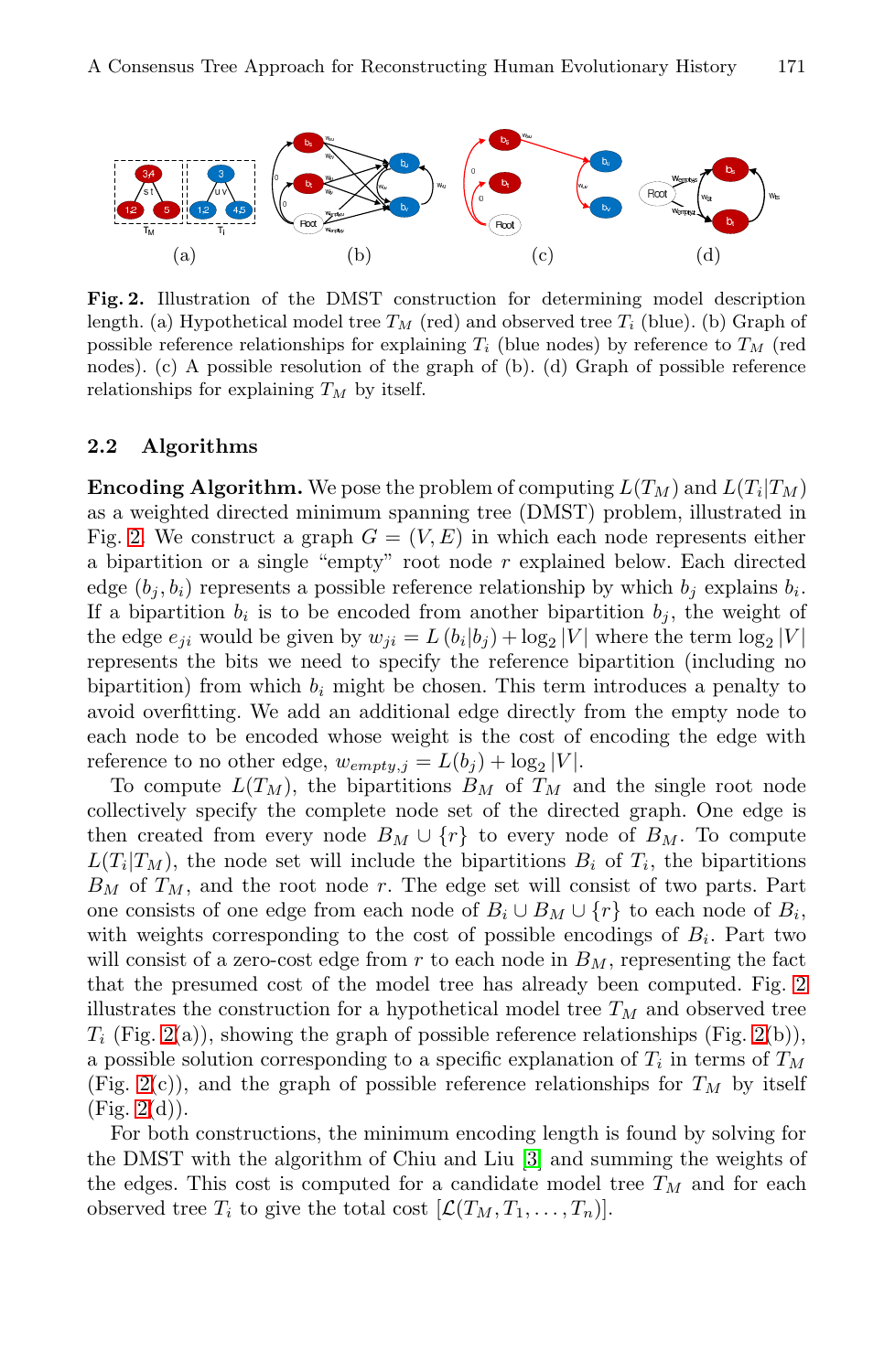<span id="page-4-0"></span>

**Fig. 2.** Illustration of the DMST construction for determining model description length. (a) Hypothetical model tree  $T_M$  (red) and observed tree  $T_i$  (blue). (b) Graph of possible reference relationships for explaining *T<sup>i</sup>* (blue nodes) by reference to *T<sup>M</sup>* (red nodes). (c) A possible resolution of the graph of (b). (d) Graph of possible reference relationships for explaining *T<sup>M</sup>* by itself.

### **2.2 Algorithms**

**Encoding Algorithm.** We pose the problem of computing  $L(T_M)$  and  $L(T_i|T_M)$ as a weighted directed minimum spanning tree (DMST) problem, illustrated in Fig. 2. We construct a graph  $G = (V, E)$  in which each node represents either a bipartition or a single "empty" root node *r* explained below. Each directed edge  $(b_j, b_i)$  represents a possible reference relationship by which  $b_j$  explains  $b_i$ . If a bipartition  $b_i$  is to be encoded from another bipartition  $b_j$ , the weight of the edge  $e_{ji}$  would be given by  $w_{ji} = L(b_i|b_j) + \log_2|V|$  where the term  $\log_2|V|$ represents the bits we need to specify the reference bipartition (including no bipartition) from which  $b_i$  might be chosen. This term introduces a penalty to avoid overfitting. We add an additional edge directly from the empty node to each node to be encoded whose weight is the cost of encoding the edge with reference to no other edge,  $w_{empty,j} = L(b_j) + \log_2 |V|$ .

To compute  $L(T_M)$ , [the](#page-4-0) bipartitions  $B_M$  of  $T_M$  and the single root node collectively specify the complete node set of the directed graph. One edge is then created from every n[od](#page-4-0)e  $B_M \cup \{r\}$  to every node of  $B_M$ . To compute  $L(T_i|T_M)$ , the node set will include the bipartitions  $B_i$  of  $T_i$ , the bipartitions  $B_M$  of  $T_M$ , and the root node  $r$ . The edge set will consist of two parts. Part one consists of one edge from each node of  $B_i \cup B_M \cup \{r\}$  to each node of  $B_i$ , with weights corresponding to the cost of possible encodings of  $B_i$ . Part two will consist of a zero-cost edg[e f](#page-10-5)rom  $r$  to each node in  $B_M$ , representing the fact that the presumed cost of the model tree has already been computed. Fig. 2 illustrates the construction for a hypothetical model tree  $T_M$  and observed tree  $T_i$  (Fig. 2(a)), showing the graph of possible reference relationships (Fig. 2(b)), a possible solution corresponding to a specific explanation of *T<sup>i</sup>* in terms of *T<sup>M</sup>* (Fig. 2(c)), and the graph of possible reference relationships for  $T_M$  by itself  $(Fig. 2(d)).$ 

For both constructions, the minimum encoding length is found by solving for the DMST with the algorithm of Chiu and Liu [3] and summing the weights of the edges. This cost is computed for a candidate model tree  $T_M$  and for each observed tree  $T_i$  to give the total cost  $[\mathcal{L}(T_M, T_1, \ldots, T_n)]$ .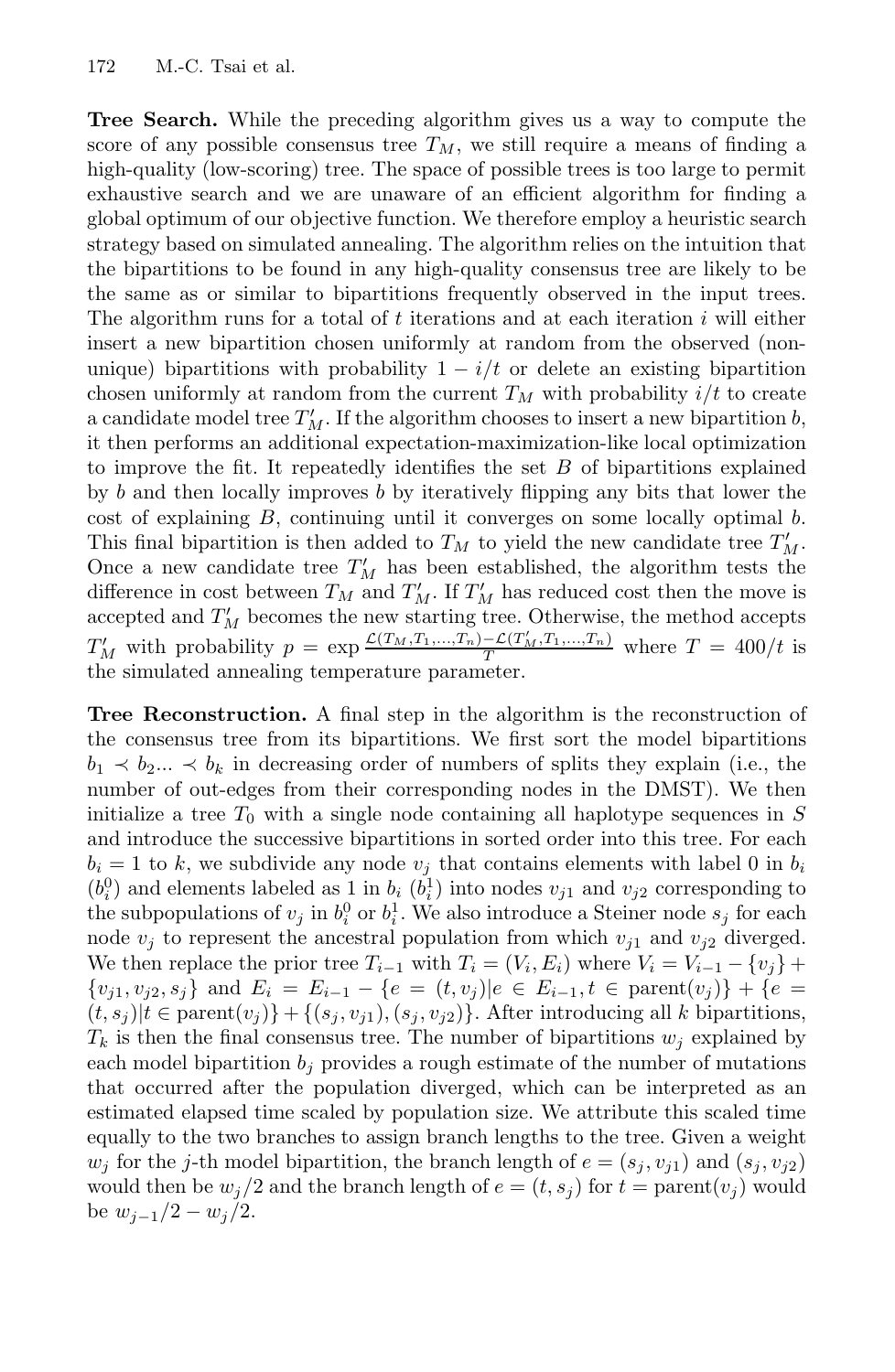**Tree Search.** While the preceding algorithm gives us a way to compute the score of any possible consensus tree  $T_M$ , we still require a means of finding a high-quality (low-scoring) tree. The space of possible trees is too large to permit exhaustive search and we are unaware of an efficient algorithm for finding a global optimum of our objective function. We therefore employ a heuristic search strategy based on simulated annealing. The algorithm relies on the intuition that the bipartitions to be found in any high-quality consensus tree are likely to be the same as or similar to bipartitions frequently observed in the input trees. The algorithm runs for a total of *t* iterations and at each iteration *i* will either insert a new bipartition chosen uniformly at random from the observed (nonunique) bipartitions with probability  $1 - i/t$  or delete an existing bipartition chosen uniformly at random from the current  $T_M$  with probability  $i/t$  to create a candidate model tree  $T'_M$ . If the algorithm chooses to insert a new bipartition *b*, it then performs an additional expectation-maximization-like local optimization to improve the fit. It repeatedly identifies the set *B* of bipartitions explained by *b* and then locally improves *b* by iteratively flipping any bits that lower the cost of explaining *B*, continuing until it converges on some locally optimal *b*. This final bipartition is then added to  $T_M$  to yield the new candidate tree  $T'_M$ . Once a new candidate tree  $T'_{M}$  has been established, the algorithm tests the difference in cost between  $T_M$  and  $T'_M$ . If  $T'_M$  has reduced cost then the move is accepted and  $T'_M$  becomes the new starting tree. Otherwise, the method accepts  $T'_M$  with probability  $p = \exp \frac{\mathcal{L}(T_M, T_1, ..., T_n) - \mathcal{L}(T'_M, T_1, ..., T_n)}{T}$  where  $T = 400/t$  is the simulated annealing temperature parameter.

**Tree Reconstruction.** A final step in the algorithm is the reconstruction of the consensus tree from its bipartitions. We first sort the model bipartitions  $b_1 \prec b_2 \ldots \prec b_k$  in decreasing order of numbers of splits they explain (i.e., the number of out-edges from their corresponding nodes in the DMST). We then initialize a tree  $T_0$  with a single node containing all haplotype sequences in  $S$ and introduce the successive bipartitions in sorted order into this tree. For each  $b_i = 1$  to *k*, we subdivide any node  $v_j$  that contains elements with label 0 in  $b_i$  $(b_i^0)$  and elements labeled as 1 in  $b_i$   $(b_i^1)$  into nodes  $v_{j1}$  and  $v_{j2}$  corresponding to the subpopulations of  $v_j$  in  $b_i^0$  or  $b_i^1$ . We also introduce a Steiner node  $s_j$  for each node  $v_j$  to represent the ancestral population from which  $v_{j1}$  and  $v_{j2}$  diverged. We then replace the prior tree  $T_{i-1}$  with  $T_i = (V_i, E_i)$  where  $V_i = V_{i-1} - \{v_i\} +$  $\{v_{i1}, v_{i2}, s_i\}$  and  $E_i = E_{i-1} - \{e = (t, v_j) | e \in E_{i-1}, t \in \text{parent}(v_j)\} + \{e = (t, v_j) | e \in E_{i-1} - \{e = (t, v_j) | e \in E_{i-1}, t \in \text{parent}(v_j)\}$  $(t, s_j)|t \in \text{parent}(v_j)\} + \{(s_j, v_{j1}), (s_j, v_{j2})\}.$  After introducing all *k* bipartitions,  $T_k$  is then the final consensus tree. The number of bipartitions  $w_i$  explained by each model bipartition  $b_j$  provides a rough estimate of the number of mutations that occurred after the population diverged, which can be interpreted as an estimated elapsed time scaled by population size. We attribute this scaled time equally to the two branches to assign branch lengths to the tree. Given a weight *w*<sup>*j*</sup> for the *j*-th model bipartition, the branch length of  $e = (s_j, v_{j1})$  and  $(s_j, v_{j2})$ would then be  $w_j/2$  and the branch length of  $e = (t, s_j)$  for  $t = \text{parent}(v_j)$  would be  $w_{i-1}/2 - w_i/2$ .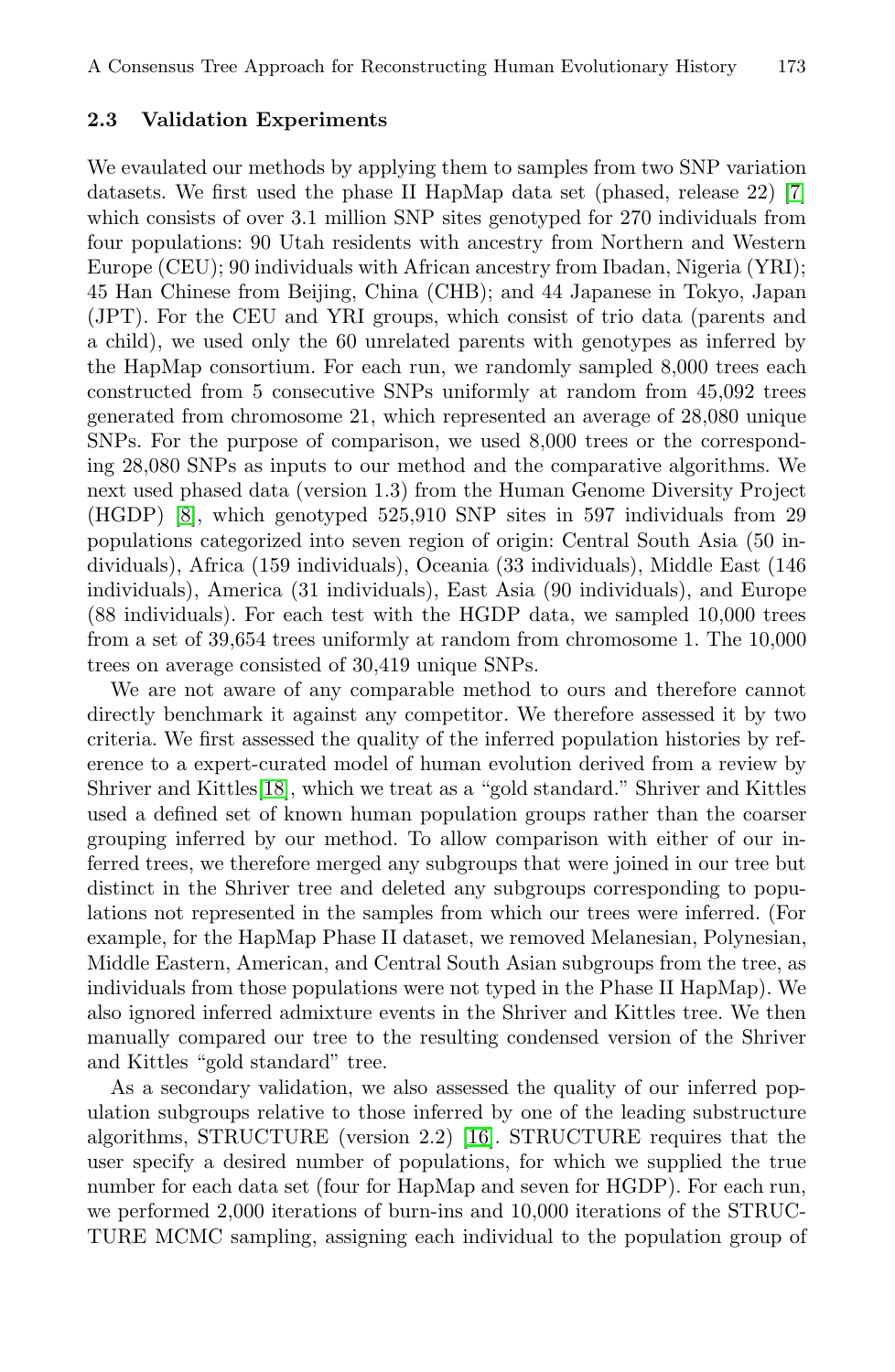#### **2.3 Validation Experiments**

We evaulated our methods by applying them to samples from two SNP variation datasets. We first used the phase II HapMap data set (phased, release 22) [7] which consists of over 3.1 million SNP sites genotyped for 270 individuals from four populations: 90 Utah residents with ancestry from Northern and Western Europe (CEU); 90 individuals with African ancestry from Ibadan, Nigeria (YRI); 45 Han Chinese from Beijing, China (CHB); and 44 Japanese in Tokyo, Japan (JPT). For the CEU and YRI groups, which consist of trio data (parents and a child), we used only the 60 unrelated parents with genotypes as inferred by the HapMap consortium. For each run, we randomly sampled 8,000 trees each constructed from 5 consecutive SNPs uniformly at random from 45,092 trees generated from chromosome 21, which represented an average of 28,080 unique SNPs. For the purpose of comparison, we used 8,000 trees or the corresponding 28,080 SNPs as inputs to our method and the comparative algorithms. We next used phased data (version 1.3) from the Human Genome Diversity Project (HGDP) [8], which genotyped 525,910 SNP sites in 597 individuals from 29 populations categorized into seven region of origin: Central South Asia (50 individuals), Africa (159 individuals), Oceania (33 individuals), Middle East (146 [ind](#page-11-8)ividuals), America (31 individuals), East Asia (90 individuals), and Europe (88 individuals). For each test with the HGDP data, we sampled 10,000 trees from a set of 39,654 trees uniformly at random from chromosome 1. The 10,000 trees on average consisted of 30,419 unique SNPs.

We are not aware of any comparable method to ours and therefore cannot directly benchmark it against any competitor. We therefore assessed it by two criteria. We first assessed the quality of the inferred population histories by reference to a expert-curated model of human evolution derived from a review by Shriver and Kittles[18], which we treat as a "gold standard." Shriver and Kittles used a defined set of known human population groups rather than the coarser grouping inferred by our method. To allow comparison with either of our inferred trees, we therefore merged any subgroups that were joined in our tree but distinct in the Shriver tree and deleted any subgroups corresponding to populations not represented in the samples from which our trees were inferred. (For example, for the Hap[Map](#page-11-9) Phase II dataset, we removed Melanesian, Polynesian, Middle Eastern, American, and Central South Asian subgroups from the tree, as individuals from those populations were not typed in the Phase II HapMap). We also ignored inferred admixture events in the Shriver and Kittles tree. We then manually compared our tree to the resulting condensed version of the Shriver and Kittles "gold standard" tree.

As a secondary validation, we also assessed the quality of our inferred population subgroups relative to those inferred by one of the leading substructure algorithms, STRUCTURE (version 2.2) [16]. STRUCTURE requires that the user specify a desired number of populations, for which we supplied the true number for each data set (four for HapMap and seven for HGDP). For each run, we performed 2,000 iterations of burn-ins and 10,000 iterations of the STRUC-TURE MCMC sampling, assigning each individual to the population group of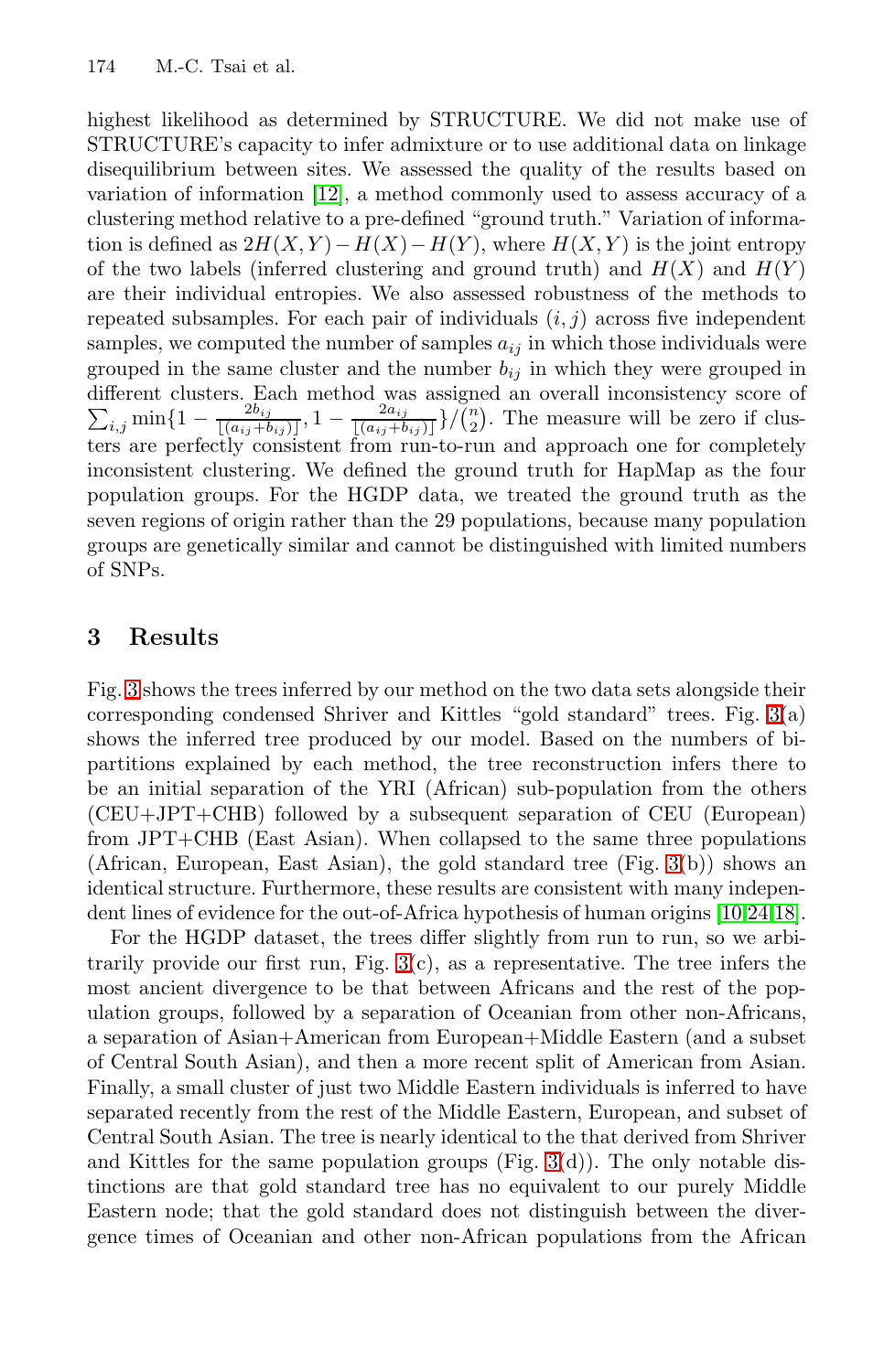#### 174 M.-C. Tsai et al.

highest likelihood as determined by STRUCTURE. We did not make use of STRUCTURE's capacity to infer admixture or to use additional data on linkage disequilibrium between sites. We assessed the quality of the results based on variation of information [12], a method commonly used to assess accuracy of a clustering method relative to a pre-defined "ground truth." Variation of information is defined as  $2H(X, Y) - H(X) - H(Y)$ , where  $H(X, Y)$  is the joint entropy of the two labels (inferred clustering and ground truth) and  $H(X)$  and  $H(Y)$ are their individual entropies. We also assessed robustness of the methods to repeated subsamples. For each pair of individuals (*i, j*) across five independent samples, we computed the number of samples  $a_{ij}$  in which those individuals were grouped in the same cluster and the number  $b_{ij}$  in which they were grouped in different clusters. Each method was assigned an overall inconsistency score of  $\sum_{i,j} \min\{1-\frac{2b_{ij}}{[(a_{ij}+b_{ij})]}, 1-\frac{2a_{ij}}{[(a_{ij}+b_{ij})]}\}$ / $\binom{n}{2}$ . The measure will be zero if clusters are perfectly consistent from run-to-run and approach one for completely inconsistent clustering. We defined the ground truth for HapMap as the four population groups. For the HGDP data, we treated the ground truth as the seven regions of origin rather than the 29 populations, b[eca](#page-8-0)use many population groups are genetically similar and cannot be distinguished with limited numbers of SNPs.

### **3 Results**

Fig. 3 shows the trees inferred by our method [on](#page-8-0) the two data sets alongside their corresponding condensed Shriver and Kittles "gol[d s](#page-11-10)[ta](#page-11-11)[nda](#page-11-8)rd" trees. Fig. 3(a) shows the inferred tree produced by our model. Based on the numbers of bipartitions expl[ai](#page-8-0)ned by each method, the tree reconstruction infers there to be an initial separation of the YRI (African) sub-population from the others (CEU+JPT+CHB) followed by a subsequent separation of CEU (European) from JPT+CHB (East Asian). When collapsed to the same three populations (African, European, East Asian), the gold standard tree (Fig. 3(b)) shows an identical structure. Furthermore, these results are consistent with many independent lines of evidence for the out-of-Africa hypothesis of human origins [10,24,18].

For the HGDP dataset, the trees differ slightly from run to run, so we arbitrarily provide our first run, F[ig.](#page-8-0)  $3(c)$ , as a representative. The tree infers the most ancient divergence to be that between Africans and the rest of the population groups, followed by a separation of Oceanian from other non-Africans, a separation of Asian+American from European+Middle Eastern (and a subset of Central South Asian), and then a more recent split of American from Asian. Finally, a small cluster of just two Middle Eastern individuals is inferred to have separated recently from the rest of the Middle Eastern, European, and subset of Central South Asian. The tree is nearly identical to the that derived from Shriver and Kittles for the same population groups  $(Fig. 3(d))$ . The only notable distinctions are that gold standard tree has no equivalent to our purely Middle Eastern node; that the gold standard does not distinguish between the divergence times of Oceanian and other non-African populations from the African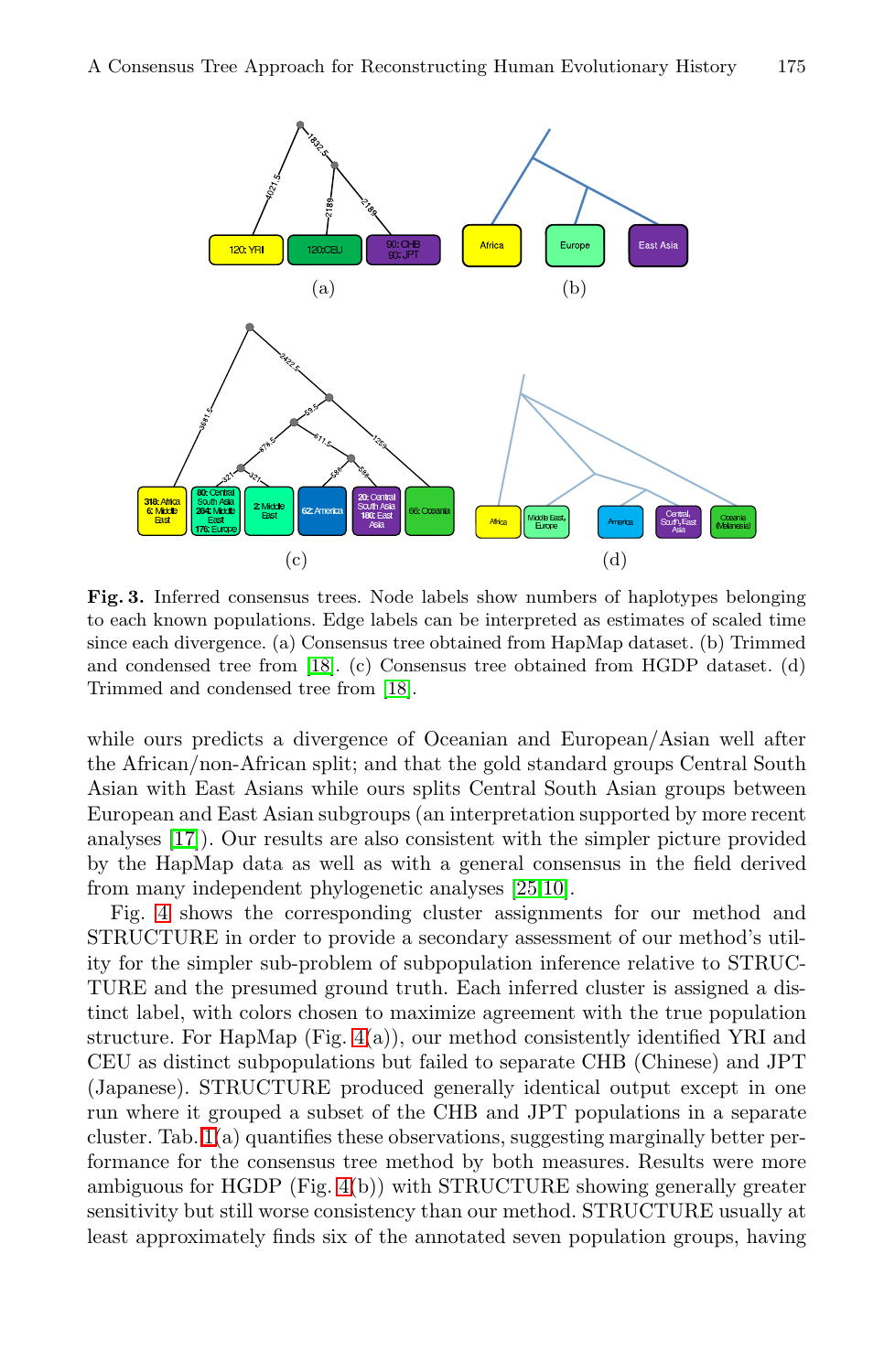<span id="page-8-0"></span>

**Fig. 3.** Inferred consensus trees. Node labels show numbers of haplotypes belonging to each known populations. Edge labels can be interpreted as estimates of scaled time since each divergence. (a) Consensus tree obtained from HapMap dataset. (b) Trimmed and condensed tree from [18]. (c) Consensus tree obtained from HGDP dataset. (d) Trimmed and condensed tree [from](#page-11-12) [\[1](#page-11-10)8].

while ours predicts a divergence of Oceanian and European/Asian well after the African/non-African split; and that the gold standard groups Central South Asian with East Asians while ours splits Central South Asian groups between European and East Asian subgroups (an interpretation supported by more recent analyses [[17](#page-9-0)]). Our results are also consistent with the simpler picture provided by the HapMap data as well as with a general consensus in the field derived from many independent phylogenetic analyses [25,10].

Fig. 4 shows the corresponding cluster assignments for our method and STRUCTURE in order to provide a secondary assessment of our method's utility for the simpler sub-problem of subpopulation inference relative to STRUC-TURE a[nd](#page-9-0) the presumed ground truth. Each inferred cluster is assigned a distinct label, with colors chosen to maximize agreement with the true population structure. For HapMap (Fig. 4(a)), our method consistently identified YRI and CEU as distinct subpopulations but failed to separate CHB (Chinese) and JPT (Japanese). STRUCTURE produced generally identical output except in one run where it grouped a subset of the CHB and JPT populations in a separate cluster. Tab. 1(a) quantifies these observations, suggesting marginally better performance for the consensus tree method by both measures. Results were more ambiguous for HGDP (Fig. 4(b)) with STRUCTURE showing generally greater sensitivity but still worse consistency than our method. STRUCTURE usually at least approximately finds six of the annotated seven population groups, having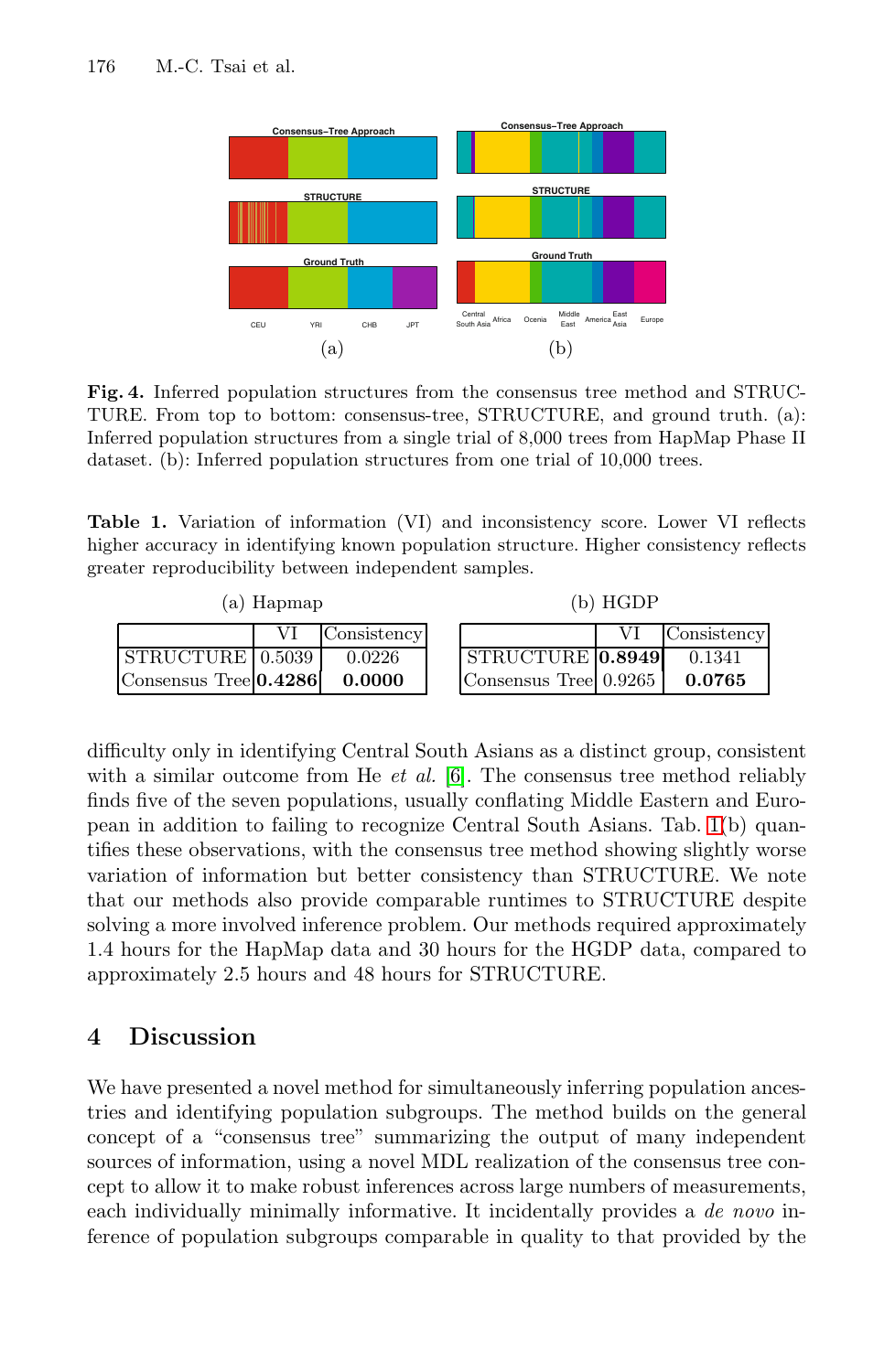<span id="page-9-0"></span>176 M.-C. Tsai et al.



**Fig. 4.** Inferred population structures from the consensus tree method and STRUC-TURE. From top to bottom: consensus-tree, STRUCTURE, and ground truth. (a): Inferred population structures from a single trial of 8,000 trees from HapMap Phase II dataset. (b): Inferred population structures from one trial of 10,000 trees.

**Table 1.** Variation of information (VI) and inconsistency score. Lower VI reflects higher accuracy in identifying known population structure. Higher consistency reflects greater reproducibility [b](#page-10-6)etween independent samples.

| (a) Hapmap                      |  | (b) HGDP              |  |             |
|---------------------------------|--|-----------------------|--|-------------|
| Consistency                     |  |                       |  | Consistency |
| STRUCTURE 0.5039<br>0.0226      |  | STRUCTURE 0.8949      |  | 0.1341      |
| Consensus Tree 0.4286<br>0.0000 |  | Consensus Tree 0.9265 |  | 0.0765      |

difficulty only in identifying Central South Asians as a distinct group, consistent with a similar outcome from He *et al.* [6]. The consensus tree method reliably finds five of the seven populations, usually conflating Middle Eastern and European in addition to failing to recognize Central South Asians. Tab. 1(b) quantifies these observations, with the consensus tree method showing slightly worse variation of information but better consistency than STRUCTURE. We note that our methods also provide comparable runtimes to STRUCTURE despite solving a more involved inference problem. Our methods required approximately 1.4 hours for the HapMap data and 30 hours for the HGDP data, compared to approximately 2.5 hours and 48 hours for STRUCTURE.

### **4 Discussion**

We have presented a novel method for simultaneously inferring population ancestries and identifying population subgroups. The method builds on the general concept of a "consensus tree" summarizing the output of many independent sources of information, using a novel MDL realization of the consensus tree concept to allow it to make robust inferences across large numbers of measurements, each individually minimally informative. It incidentally provides a *de novo* inference of population subgroups comparable in quality to that provided by the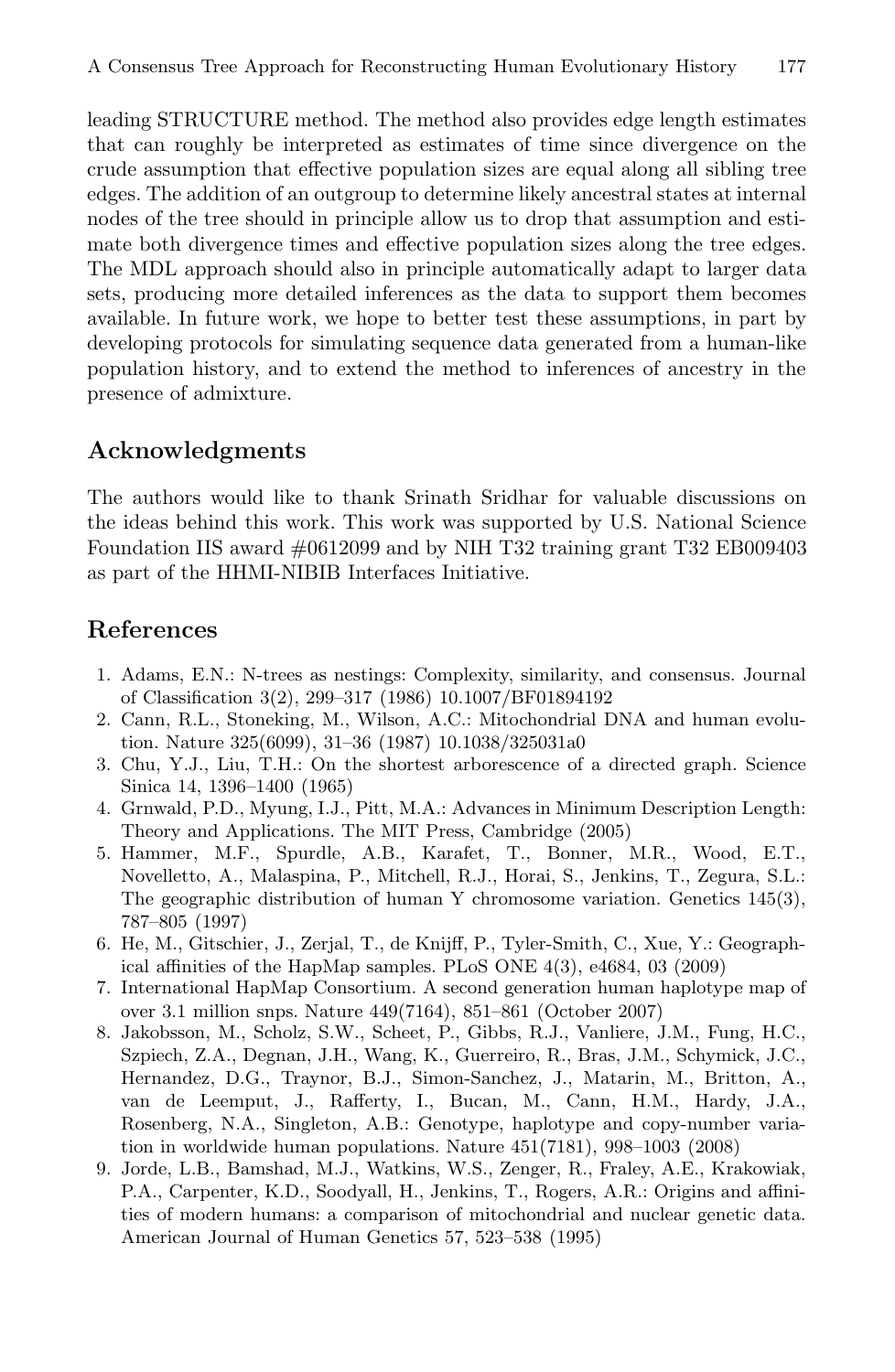leading STRUCTURE method. The method also provides edge length estimates that can roughly be interpreted as estimates of time since divergence on the crude assumption that effective population sizes are equal along all sibling tree edges. The addition of an outgroup to determine likely ancestral states at internal nodes of the tree should in principle allow us to drop that assumption and estimate both divergence times and effective population sizes along the tree edges. The MDL approach should also in principle automatically adapt to larger data sets, producing more detailed inferences as the data to support them becomes available. In future work, we hope to better test these assumptions, in part by developing protocols for simulating sequence data generated from a human-like population history, and to extend the method to inferences of ancestry in the presence of admixture.

### **Acknowledgments**

The authors would like to thank Srinath Sridhar for valuable discussions on the ideas behind this work. This work was supported by U.S. National Science Foundation IIS award #0612099 and by NIH T32 training grant T32 EB009403 as part of the HHMI-NIBIB Interfaces Initiative.

# **References**

- 1. Adams, E.N.: N-trees as nestings: Complexity, similarity, and consensus. Journal of Classification 3(2), 299–317 (1986) 10.1007/BF01894192
- <span id="page-10-1"></span>2. Cann, R.L., Stoneking, M., Wilson, A.C.: Mitochondrial DNA and human evolution. Nature 325(6099), 31–36 (1987) 10.1038/325031a0
- <span id="page-10-5"></span>3. Chu, Y.J., Liu, T.H.: On the shortest arborescence of a directed graph. Science Sinica 14, 1396–1400 (1965)
- <span id="page-10-4"></span>4. Grnwald, P.D., Myung, I.J., Pitt, M.A.: Advances in Minimum Description Length: Theory and Applications. The MIT Press, Cambridge (2005)
- 5. Hammer, M.F., Spurdle, A.B., Karafet, T., Bonner, M.R., Wood, E.T., Novelletto, A., Malaspina, P., Mitchell, R.J., Horai, S., Jenkins, T., Zegura, S.L.: The geographic distribution of human Y chromosome variation. Genetics 145(3), 787–805 (1997)
- <span id="page-10-6"></span>6. He, M., Gitschier, J., Zerjal, T., de Knijff, P., Tyler-Smith, C., Xue, Y.: Geographical affinities of the HapMap samples. PLoS ONE 4(3), e4684, 03 (2009)
- <span id="page-10-2"></span>7. International HapMap Consortium. A second generation human haplotype map of over 3.1 million snps. Nature 449(7164), 851–861 (October 2007)
- <span id="page-10-3"></span>8. Jakobsson, M., Scholz, S.W., Scheet, P., Gibbs, R.J., Vanliere, J.M., Fung, H.C., Szpiech, Z.A., Degnan, J.H., Wang, K., Guerreiro, R., Bras, J.M., Schymick, J.C., Hernandez, D.G., Traynor, B.J., Simon-Sanchez, J., Matarin, M., Britton, A., van de Leemput, J., Rafferty, I., Bucan, M., Cann, H.M., Hardy, J.A., Rosenberg, N.A., Singleton, A.B.: Genotype, haplotype and copy-number variation in worldwide human populations. Nature 451(7181), 998–1003 (2008)
- <span id="page-10-0"></span>9. Jorde, L.B., Bamshad, M.J., Watkins, W.S., Zenger, R., Fraley, A.E., Krakowiak, P.A., Carpenter, K.D., Soodyall, H., Jenkins, T., Rogers, A.R.: Origins and affinities of modern humans: a comparison of mitochondrial and nuclear genetic data. American Journal of Human Genetics 57, 523–538 (1995)